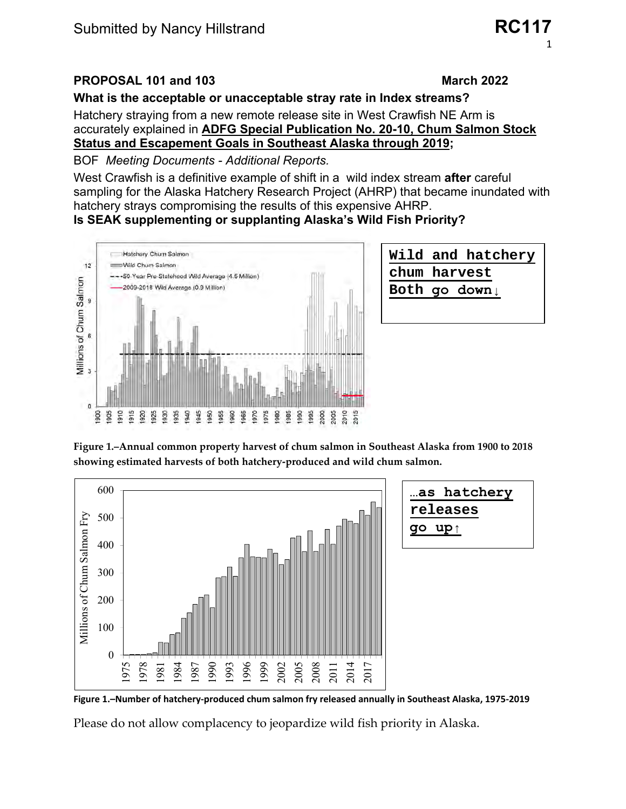# PROPOSAL 101 and 103

#### **March 2022**

## What is the acceptable or unacceptable stray rate in Index streams?

Hatchery straying from a new remote release site in West Crawfish NE Arm is accurately explained in ADFG Special Publication No. 20-10, Chum Salmon Stock **Status and Escapement Goals in Southeast Alaska through 2019;** 

**BOF** Meeting Documents - Additional Reports.

West Crawfish is a definitive example of shift in a wild index stream **after** careful sampling for the Alaska Hatchery Research Project (AHRP) that became inundated with hatchery strays compromising the results of this expensive AHRP.

## Is SEAK supplementing or supplanting Alaska's Wild Fish Priority?





Figure 1.–Annual common property harvest of chum salmon in Southeast Alaska from 1900 to 2018 showing estimated harvests of both hatchery-produced and wild chum salmon.



Figure 1.-Number of hatchery-produced chum salmon fry released annually in Southeast Alaska, 1975-2019

Please do not allow complacency to jeopardize wild fish priority in Alaska.

**RC117**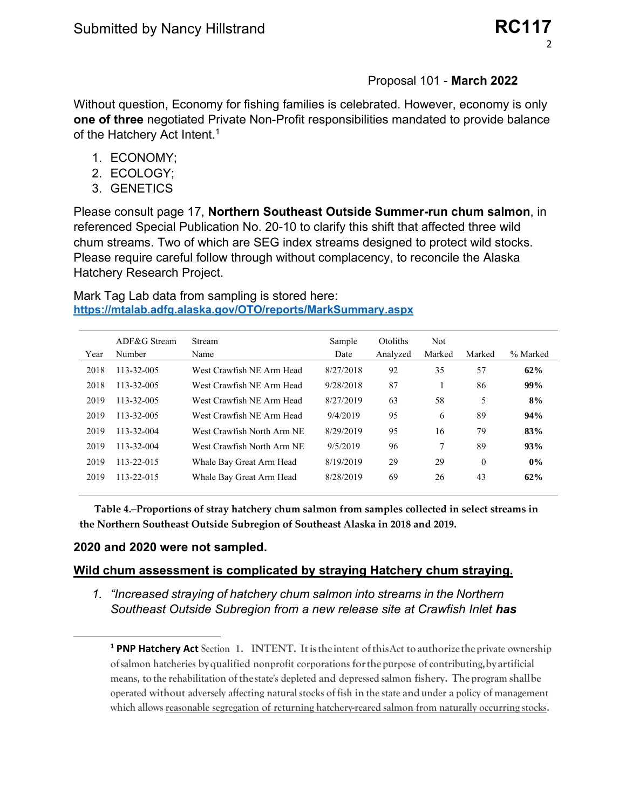## Proposal 101 - **March 2022**

Without question, Economy for fishing families is celebrated. However, economy is only **one of three** negotiated Private Non-Profit responsibilities mandated to provide balance of the Hatchery Act Intent.<sup>1</sup>

- 1. ECONOMY;
- 2. ECOLOGY;
- 3. GENETICS

Please consult page 17, **Northern Southeast Outside Summer-run chum salmon**, in referenced Special Publication No. 20-10 to clarify this shift that affected three wild chum streams. Two of which are SEG index streams designed to protect wild stocks. Please require careful follow through without complacency, to reconcile the Alaska Hatchery Research Project.

Mark Tag Lab data from sampling is stored here: **<https://mtalab.adfg.alaska.gov/OTO/reports/MarkSummary.aspx>**

| Year | $ADF&G$ Stream<br>Number | <b>Stream</b><br>Name      | Sample<br>Date | Otoliths<br>Analyzed | <b>Not</b><br>Marked | Marked   | % Marked |
|------|--------------------------|----------------------------|----------------|----------------------|----------------------|----------|----------|
| 2018 | 113-32-005               | West Crawfish NE Arm Head  | 8/27/2018      | 92                   | 35                   | 57       | 62%      |
| 2018 | 113-32-005               | West Crawfish NE Arm Head  | 9/28/2018      | 87                   |                      | 86       | 99%      |
| 2019 | 113-32-005               | West Crawfish NE Arm Head  | 8/27/2019      | 63                   | 58                   | 5        | 8%       |
| 2019 | 113-32-005               | West Crawfish NE Arm Head  | 9/4/2019       | 95                   | 6                    | 89       | 94%      |
| 2019 | 113-32-004               | West Crawfish North Arm NE | 8/29/2019      | 95                   | 16                   | 79       | 83%      |
| 2019 | 113-32-004               | West Crawfish North Arm NE | 9/5/2019       | 96                   | 7                    | 89       | 93%      |
| 2019 | 113-22-015               | Whale Bay Great Arm Head   | 8/19/2019      | 29                   | 29                   | $\theta$ | $0\%$    |
| 2019 | 113-22-015               | Whale Bay Great Arm Head   | 8/28/2019      | 69                   | 26                   | 43       | 62%      |
|      |                          |                            |                |                      |                      |          |          |

**Table 4.–Proportions of stray hatchery chum salmon from samples collected in select streams in the Northern Southeast Outside Subregion of Southeast Alaska in 2018 and 2019.** 

## **2020 and 2020 were not sampled.**

## **Wild chum assessment is complicated by straying Hatchery chum straying.**

*1. "Increased straying of hatchery chum salmon into streams in the Northern Southeast Outside Subregion from a new release site at Crawfish Inlet has* 

**<sup>1</sup> PNP Hatchery Act Section 1. INTENT. Itistheintent ofthisAct to authorizetheprivate ownership ofsalmon hatcheries byqualified nonprofit corporations forthepurpose of contributing,by artificial means, tothe rehabilitation ofthestate's depleted and depressed salmon fishery. The program shallbe operated without adversely affecting natural stocks of fish in the state and under a policy of management which allows reasonable segregation of returning hatchery-reared salmon from naturally occurring stocks.**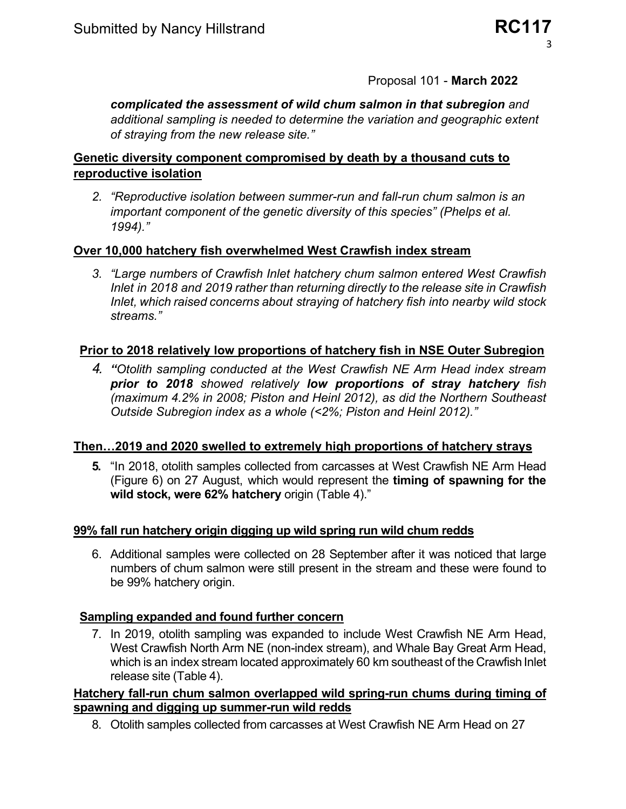## Proposal 101 - **March 2022**

*complicated the assessment of wild chum salmon in that subregion and additional sampling is needed to determine the variation and geographic extent of straying from the new release site."*

## **Genetic diversity component compromised by death by a thousand cuts to reproductive isolation**

*2. "Reproductive isolation between summer-run and fall-run chum salmon is an important component of the genetic diversity of this species" (Phelps et al. 1994)."*

## **Over 10,000 hatchery fish overwhelmed West Crawfish index stream**

*3. "Large numbers of Crawfish Inlet hatchery chum salmon entered West Crawfish Inlet in 2018 and 2019 rather than returning directly to the release site in Crawfish Inlet, which raised concerns about straying of hatchery fish into nearby wild stock streams."*

## **Prior to 2018 relatively low proportions of hatchery fish in NSE Outer Subregion**

*4. "Otolith sampling conducted at the West Crawfish NE Arm Head index stream prior to 2018 showed relatively low proportions of stray hatchery fish (maximum 4.2% in 2008; Piston and Heinl 2012), as did the Northern Southeast Outside Subregion index as a whole (<2%; Piston and Heinl 2012)."*

## **Then…2019 and 2020 swelled to extremely high proportions of hatchery strays**

**5.** "In 2018, otolith samples collected from carcasses at West Crawfish NE Arm Head (Figure 6) on 27 August, which would represent the **timing of spawning for the wild stock, were 62% hatchery** origin (Table 4)."

## **99% fall run hatchery origin digging up wild spring run wild chum redds**

6. Additional samples were collected on 28 September after it was noticed that large numbers of chum salmon were still present in the stream and these were found to be 99% hatchery origin.

## **Sampling expanded and found further concern**

7. In 2019, otolith sampling was expanded to include West Crawfish NE Arm Head, West Crawfish North Arm NE (non-index stream), and Whale Bay Great Arm Head, which is an index stream located approximately 60 km southeast of the Crawfish Inlet release site (Table 4).

## **Hatchery fall-run chum salmon overlapped wild spring-run chums during timing of spawning and digging up summer-run wild redds**

8. Otolith samples collected from carcasses at West Crawfish NE Arm Head on 27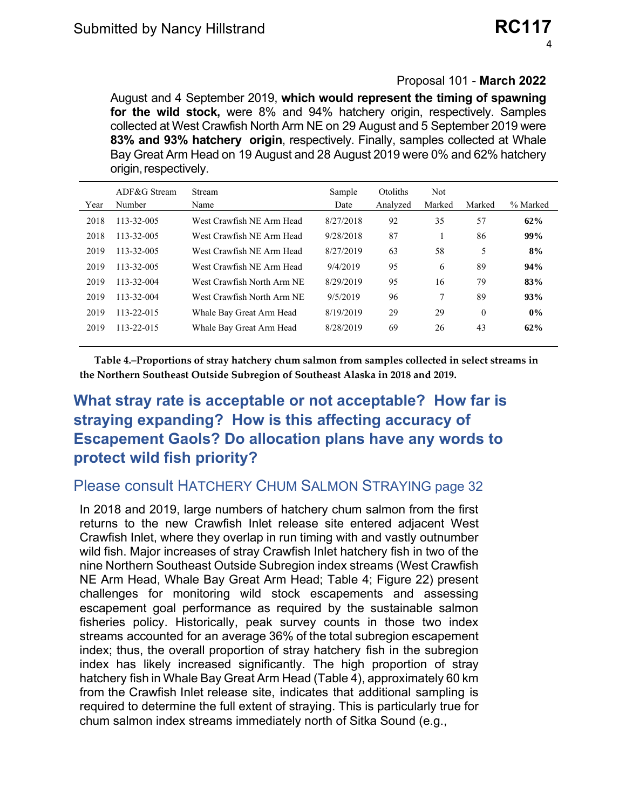## Proposal 101 - **March 2022**

August and 4 September 2019, **which would represent the timing of spawning for the wild stock,** were 8% and 94% hatchery origin, respectively. Samples collected at West Crawfish North Arm NE on 29 August and 5 September 2019 were **83% and 93% hatchery origin**, respectively. Finally, samples collected at Whale Bay Great Arm Head on 19 August and 28 August 2019 were 0% and 62% hatchery origin, respectively.

| Year | $ADF&G$ Stream<br>Number | Stream<br>Name             | Sample<br>Date | Otoliths<br>Analyzed | <b>Not</b><br>Marked | Marked   | % Marked |
|------|--------------------------|----------------------------|----------------|----------------------|----------------------|----------|----------|
| 2018 | 113-32-005               | West Crawfish NE Arm Head  | 8/27/2018      | 92                   | 35                   | 57       | 62%      |
| 2018 | 113-32-005               | West Crawfish NE Arm Head  | 9/28/2018      | 87                   |                      | 86       | 99%      |
| 2019 | 113-32-005               | West Crawfish NE Arm Head  | 8/27/2019      | 63                   | 58                   | 5        | 8%       |
| 2019 | 113-32-005               | West Crawfish NE Arm Head  | 9/4/2019       | 95                   | 6                    | 89       | 94%      |
| 2019 | 113-32-004               | West Crawfish North Arm NE | 8/29/2019      | 95                   | 16                   | 79       | 83%      |
| 2019 | 113-32-004               | West Crawfish North Arm NE | 9/5/2019       | 96                   | 7                    | 89       | 93%      |
| 2019 | 113-22-015               | Whale Bay Great Arm Head   | 8/19/2019      | 29                   | 29                   | $\theta$ | $0\%$    |
| 2019 | 113-22-015               | Whale Bay Great Arm Head   | 8/28/2019      | 69                   | 26                   | 43       | 62%      |
|      |                          |                            |                |                      |                      |          |          |

**Table 4.–Proportions of stray hatchery chum salmon from samples collected in select streams in the Northern Southeast Outside Subregion of Southeast Alaska in 2018 and 2019.** 

# **What stray rate is acceptable or not acceptable? How far is straying expanding? How is this affecting accuracy of Escapement Gaols? Do allocation plans have any words to protect wild fish priority?**

## Please consult HATCHERY CHUM SALMON STRAYING page 32

In 2018 and 2019, large numbers of hatchery chum salmon from the first returns to the new Crawfish Inlet release site entered adjacent West Crawfish Inlet, where they overlap in run timing with and vastly outnumber wild fish. Major increases of stray Crawfish Inlet hatchery fish in two of the nine Northern Southeast Outside Subregion index streams (West Crawfish NE Arm Head, Whale Bay Great Arm Head; Table 4; Figure 22) present challenges for monitoring wild stock escapements and assessing escapement goal performance as required by the sustainable salmon fisheries policy. Historically, peak survey counts in those two index streams accounted for an average 36% of the total subregion escapement index; thus, the overall proportion of stray hatchery fish in the subregion index has likely increased significantly. The high proportion of stray hatchery fish in Whale Bay Great Arm Head (Table 4), approximately 60 km from the Crawfish Inlet release site, indicates that additional sampling is required to determine the full extent of straying. This is particularly true for chum salmon index streams immediately north of Sitka Sound (e.g.,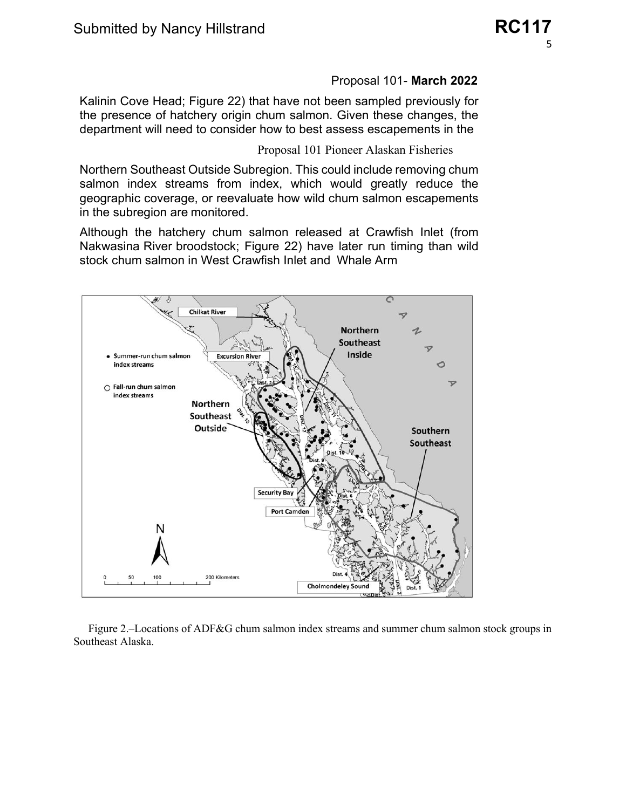#### Proposal 101- **March 2022**

Kalinin Cove Head; Figure 22) that have not been sampled previously for the presence of hatchery origin chum salmon. Given these changes, the department will need to consider how to best assess escapements in the

Proposal 101 Pioneer Alaskan Fisheries

Northern Southeast Outside Subregion. This could include removing chum salmon index streams from index, which would greatly reduce the geographic coverage, or reevaluate how wild chum salmon escapements in the subregion are monitored.

Although the hatchery chum salmon released at Crawfish Inlet (from Nakwasina River broodstock; Figure 22) have later run timing than wild stock chum salmon in West Crawfish Inlet and Whale Arm



Figure 2.–Locations of ADF&G chum salmon index streams and summer chum salmon stock groups in Southeast Alaska.